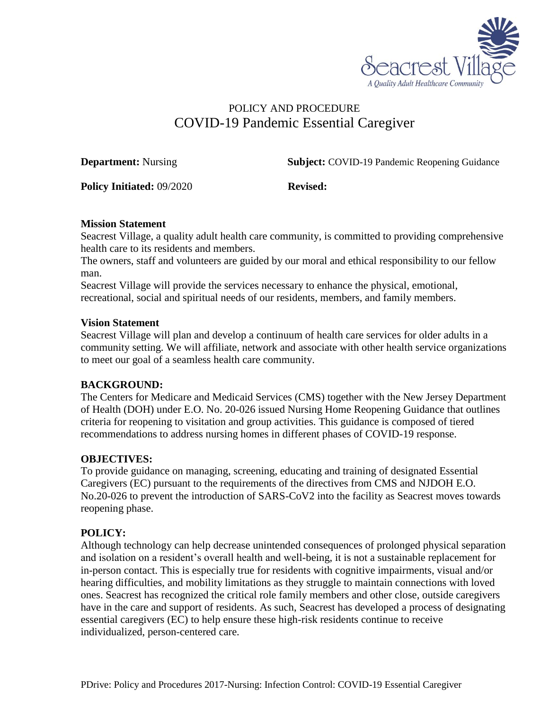

# POLICY AND PROCEDURE COVID-19 Pandemic Essential Caregiver

**Department:** Nursing **Subject:** COVID-19 Pandemic Reopening Guidance

**Policy Initiated:** 09/2020 **Revised:** 

#### **Mission Statement**

Seacrest Village, a quality adult health care community, is committed to providing comprehensive health care to its residents and members.

The owners, staff and volunteers are guided by our moral and ethical responsibility to our fellow man.

Seacrest Village will provide the services necessary to enhance the physical, emotional, recreational, social and spiritual needs of our residents, members, and family members.

#### **Vision Statement**

Seacrest Village will plan and develop a continuum of health care services for older adults in a community setting. We will affiliate, network and associate with other health service organizations to meet our goal of a seamless health care community.

## **BACKGROUND:**

The Centers for Medicare and Medicaid Services (CMS) together with the New Jersey Department of Health (DOH) under E.O. No. 20-026 issued Nursing Home Reopening Guidance that outlines criteria for reopening to visitation and group activities. This guidance is composed of tiered recommendations to address nursing homes in different phases of COVID-19 response.

## **OBJECTIVES:**

To provide guidance on managing, screening, educating and training of designated Essential Caregivers (EC) pursuant to the requirements of the directives from CMS and NJDOH E.O. No.20-026 to prevent the introduction of SARS-CoV2 into the facility as Seacrest moves towards reopening phase.

## **POLICY:**

Although technology can help decrease unintended consequences of prolonged physical separation and isolation on a resident's overall health and well-being, it is not a sustainable replacement for in-person contact. This is especially true for residents with cognitive impairments, visual and/or hearing difficulties, and mobility limitations as they struggle to maintain connections with loved ones. Seacrest has recognized the critical role family members and other close, outside caregivers have in the care and support of residents. As such, Seacrest has developed a process of designating essential caregivers (EC) to help ensure these high-risk residents continue to receive individualized, person-centered care.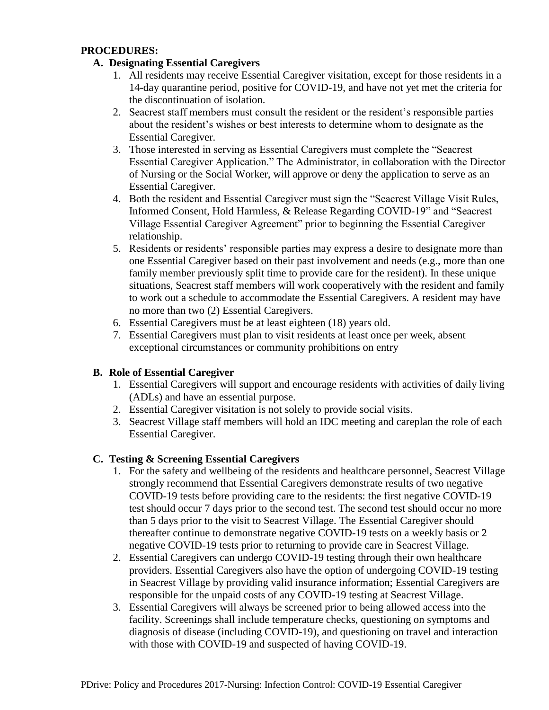## **PROCEDURES:**

## **A. Designating Essential Caregivers**

- 1. All residents may receive Essential Caregiver visitation, except for those residents in a 14-day quarantine period, positive for COVID-19, and have not yet met the criteria for the discontinuation of isolation.
- 2. Seacrest staff members must consult the resident or the resident's responsible parties about the resident's wishes or best interests to determine whom to designate as the Essential Caregiver.
- 3. Those interested in serving as Essential Caregivers must complete the "Seacrest Essential Caregiver Application." The Administrator, in collaboration with the Director of Nursing or the Social Worker, will approve or deny the application to serve as an Essential Caregiver.
- 4. Both the resident and Essential Caregiver must sign the "Seacrest Village Visit Rules, Informed Consent, Hold Harmless, & Release Regarding COVID-19" and "Seacrest Village Essential Caregiver Agreement" prior to beginning the Essential Caregiver relationship.
- 5. Residents or residents' responsible parties may express a desire to designate more than one Essential Caregiver based on their past involvement and needs (e.g., more than one family member previously split time to provide care for the resident). In these unique situations, Seacrest staff members will work cooperatively with the resident and family to work out a schedule to accommodate the Essential Caregivers. A resident may have no more than two (2) Essential Caregivers.
- 6. Essential Caregivers must be at least eighteen (18) years old.
- 7. Essential Caregivers must plan to visit residents at least once per week, absent exceptional circumstances or community prohibitions on entry

## **B. Role of Essential Caregiver**

- 1. Essential Caregivers will support and encourage residents with activities of daily living (ADLs) and have an essential purpose.
- 2. Essential Caregiver visitation is not solely to provide social visits.
- 3. Seacrest Village staff members will hold an IDC meeting and careplan the role of each Essential Caregiver.

## **C. Testing & Screening Essential Caregivers**

- 1. For the safety and wellbeing of the residents and healthcare personnel, Seacrest Village strongly recommend that Essential Caregivers demonstrate results of two negative COVID-19 tests before providing care to the residents: the first negative COVID-19 test should occur 7 days prior to the second test. The second test should occur no more than 5 days prior to the visit to Seacrest Village. The Essential Caregiver should thereafter continue to demonstrate negative COVID-19 tests on a weekly basis or 2 negative COVID-19 tests prior to returning to provide care in Seacrest Village.
- 2. Essential Caregivers can undergo COVID-19 testing through their own healthcare providers. Essential Caregivers also have the option of undergoing COVID-19 testing in Seacrest Village by providing valid insurance information; Essential Caregivers are responsible for the unpaid costs of any COVID-19 testing at Seacrest Village.
- 3. Essential Caregivers will always be screened prior to being allowed access into the facility. Screenings shall include temperature checks, questioning on symptoms and diagnosis of disease (including COVID-19), and questioning on travel and interaction with those with COVID-19 and suspected of having COVID-19.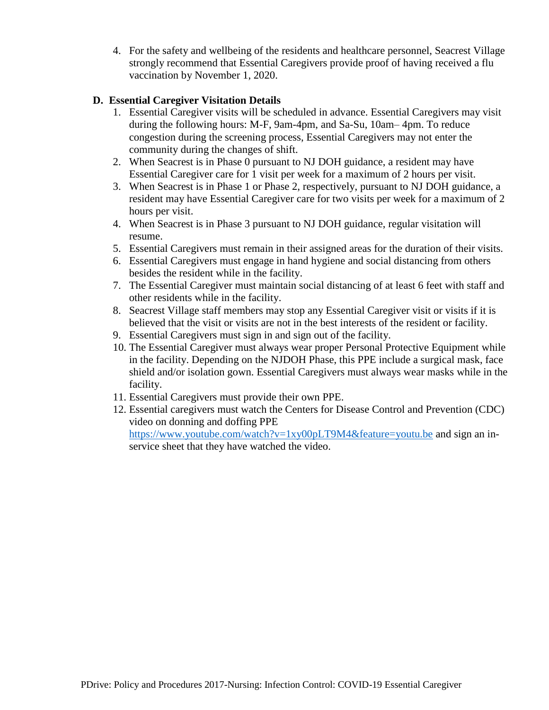4. For the safety and wellbeing of the residents and healthcare personnel, Seacrest Village strongly recommend that Essential Caregivers provide proof of having received a flu vaccination by November 1, 2020.

# **D. Essential Caregiver Visitation Details**

- 1. Essential Caregiver visits will be scheduled in advance. Essential Caregivers may visit during the following hours: M-F, 9am-4pm, and Sa-Su, 10am– 4pm. To reduce congestion during the screening process, Essential Caregivers may not enter the community during the changes of shift.
- 2. When Seacrest is in Phase 0 pursuant to NJ DOH guidance, a resident may have Essential Caregiver care for 1 visit per week for a maximum of 2 hours per visit.
- 3. When Seacrest is in Phase 1 or Phase 2, respectively, pursuant to NJ DOH guidance, a resident may have Essential Caregiver care for two visits per week for a maximum of 2 hours per visit.
- 4. When Seacrest is in Phase 3 pursuant to NJ DOH guidance, regular visitation will resume.
- 5. Essential Caregivers must remain in their assigned areas for the duration of their visits.
- 6. Essential Caregivers must engage in hand hygiene and social distancing from others besides the resident while in the facility.
- 7. The Essential Caregiver must maintain social distancing of at least 6 feet with staff and other residents while in the facility.
- 8. Seacrest Village staff members may stop any Essential Caregiver visit or visits if it is believed that the visit or visits are not in the best interests of the resident or facility.
- 9. Essential Caregivers must sign in and sign out of the facility.
- 10. The Essential Caregiver must always wear proper Personal Protective Equipment while in the facility. Depending on the NJDOH Phase, this PPE include a surgical mask, face shield and/or isolation gown. Essential Caregivers must always wear masks while in the facility.
- 11. Essential Caregivers must provide their own PPE.
- 12. Essential caregivers must watch the Centers for Disease Control and Prevention (CDC) video on donning and doffing PPE <https://www.youtube.com/watch?v=1xy00pLT9M4&feature=youtu.be> and sign an inservice sheet that they have watched the video.